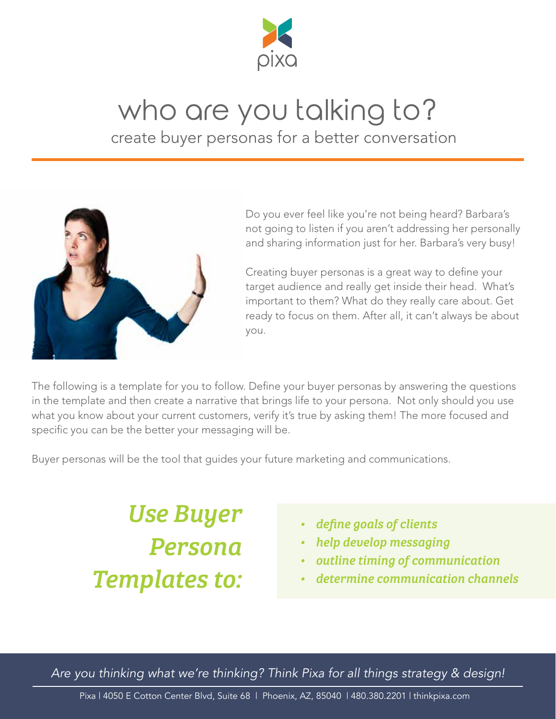

## who are you talking to?

create buyer personas for a better conversation



Do you ever feel like you're not being heard? Barbara's not going to listen if you aren't addressing her personally and sharing information just for her. Barbara's very busy!

Creating buyer personas is a great way to define your target audience and really get inside their head. What's important to them? What do they really care about. Get ready to focus on them. After all, it can't always be about you.

The following is a template for you to follow. Define your buyer personas by answering the questions in the template and then create a narrative that brings life to your persona. Not only should you use what you know about your current customers, verify it's true by asking them! The more focused and specific you can be the better your messaging will be.

Buyer personas will be the tool that guides your future marketing and communications.

*Use Buyer Persona Templates to:*

- *• define goals of clients*
- *• help develop messaging*
- *• outline timing of communication*
- *• determine communication channels*

*Are you thinking what we're thinking? Think Pixa for all things strategy & design!*

Pixa | 4050 E Cotton Center Blvd, Suite 68 | Phoenix, AZ, 85040 | 480.380.2201 | thinkpixa.com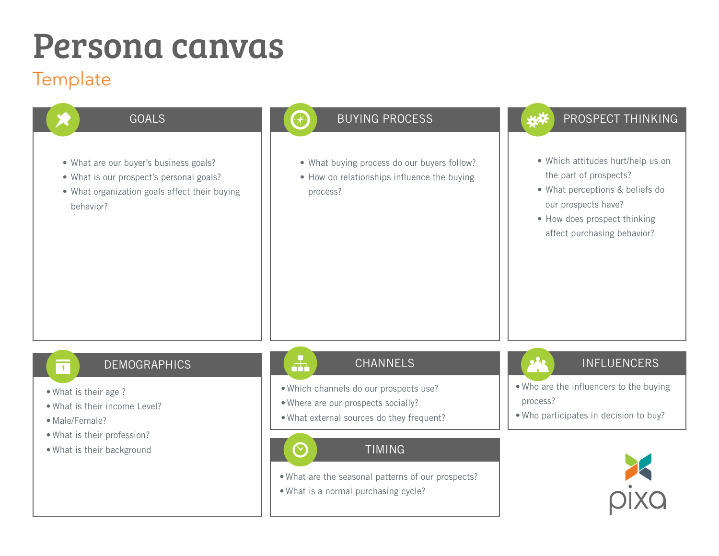#### **Template**

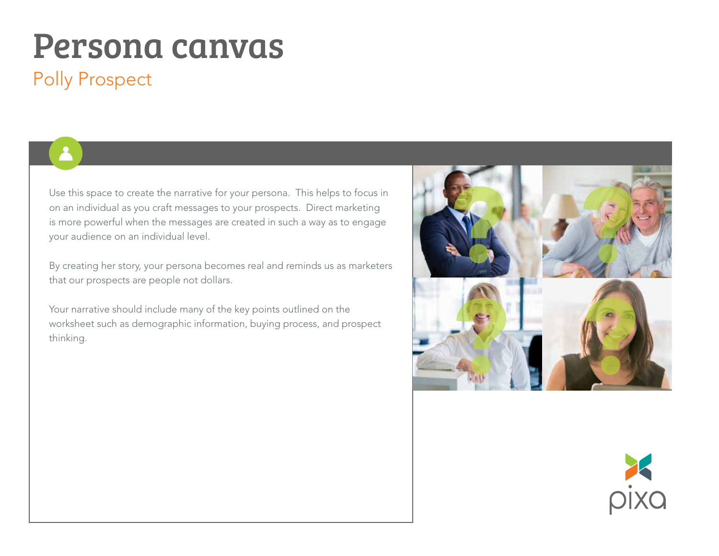### Polly Prospect

Use this space to create the narrative for your persona. This helps to focus in on an individual as you craft messages to your prospects. Direct marketing is more powerful when the messages are created in such a way as to engage your audience on an individual level.

By creating her story, your persona becomes real and reminds us as marketers that our prospects are people not dollars.

Your narrative should include many of the key points outlined on the worksheet such as demographic information, buying process, and prospect thinking.



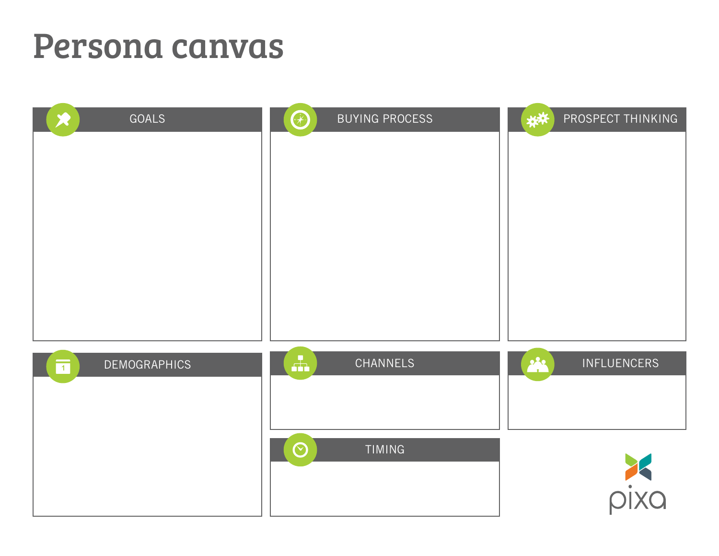